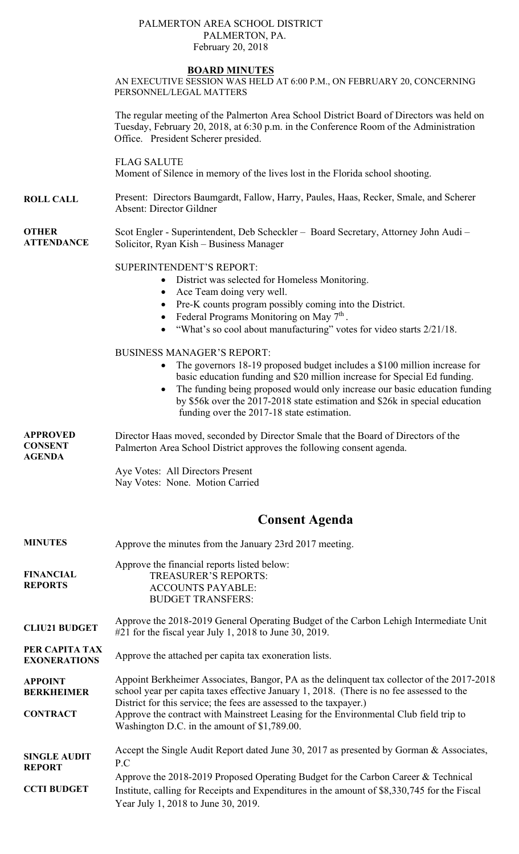#### PALMERTON AREA SCHOOL DISTRICT PALMERTON, PA. February 20, 2018

#### **BOARD MINUTES**

AN EXECUTIVE SESSION WAS HELD AT 6:00 P.M., ON FEBRUARY 20, CONCERNING PERSONNEL/LEGAL MATTERS

The regular meeting of the Palmerton Area School District Board of Directors was held on Tuesday, February 20, 2018, at 6:30 p.m. in the Conference Room of the Administration Office. President Scherer presided.

FLAG SALUTE Moment of Silence in memory of the lives lost in the Florida school shooting.

- **ROLL CALL**  Present: Directors Baumgardt, Fallow, Harry, Paules, Haas, Recker, Smale, and Scherer Absent: Director Gildner
- **OTHER ATTENDANCE**  Scot Engler - Superintendent, Deb Scheckler – Board Secretary, Attorney John Audi – Solicitor, Ryan Kish – Business Manager

#### SUPERINTENDENT'S REPORT:

- District was selected for Homeless Monitoring.
- Ace Team doing very well.
- Pre-K counts program possibly coming into the District.
- Federal Programs Monitoring on May  $7<sup>th</sup>$ .
- "What's so cool about manufacturing" votes for video starts 2/21/18.

#### BUSINESS MANAGER'S REPORT:

- The governors 18-19 proposed budget includes a \$100 million increase for basic education funding and \$20 million increase for Special Ed funding.
- The funding being proposed would only increase our basic education funding by \$56k over the 2017-2018 state estimation and \$26k in special education funding over the 2017-18 state estimation.

**APPROVED CONSENT AGENDA**  Director Haas moved, seconded by Director Smale that the Board of Directors of the Palmerton Area School District approves the following consent agenda.

> Aye Votes: All Directors Present Nay Votes: None. Motion Carried

# **Consent Agenda**

| <b>MINUTES</b>                                         | Approve the minutes from the January 23rd 2017 meeting.                                                                                                                                                                                                                                                                                               |  |  |  |  |
|--------------------------------------------------------|-------------------------------------------------------------------------------------------------------------------------------------------------------------------------------------------------------------------------------------------------------------------------------------------------------------------------------------------------------|--|--|--|--|
| <b>FINANCIAL</b><br><b>REPORTS</b>                     | Approve the financial reports listed below:<br><b>TREASURER'S REPORTS:</b><br><b>ACCOUNTS PAYABLE:</b><br><b>BUDGET TRANSFERS:</b>                                                                                                                                                                                                                    |  |  |  |  |
| <b>CLIU21 BUDGET</b>                                   | Approve the 2018-2019 General Operating Budget of the Carbon Lehigh Intermediate Unit<br>$\#21$ for the fiscal year July 1, 2018 to June 30, 2019.                                                                                                                                                                                                    |  |  |  |  |
| PER CAPITA TAX<br><b>EXONERATIONS</b>                  | Approve the attached per capita tax exoneration lists.                                                                                                                                                                                                                                                                                                |  |  |  |  |
| <b>APPOINT</b><br><b>BERKHEIMER</b><br><b>CONTRACT</b> | Appoint Berkheimer Associates, Bangor, PA as the delinquent tax collector of the 2017-2018<br>school year per capita taxes effective January 1, 2018. (There is no fee assessed to the<br>District for this service; the fees are assessed to the taxpayer.)<br>Approve the contract with Mainstreet Leasing for the Environmental Club field trip to |  |  |  |  |
|                                                        | Washington D.C. in the amount of \$1,789.00.                                                                                                                                                                                                                                                                                                          |  |  |  |  |
| <b>SINGLE AUDIT</b><br><b>REPORT</b>                   | Accept the Single Audit Report dated June 30, 2017 as presented by Gorman & Associates,<br>P.C                                                                                                                                                                                                                                                        |  |  |  |  |
| <b>CCTI BUDGET</b>                                     | Approve the 2018-2019 Proposed Operating Budget for the Carbon Career & Technical<br>Institute, calling for Receipts and Expenditures in the amount of \$8,330,745 for the Fiscal<br>Year July 1, 2018 to June 30, 2019.                                                                                                                              |  |  |  |  |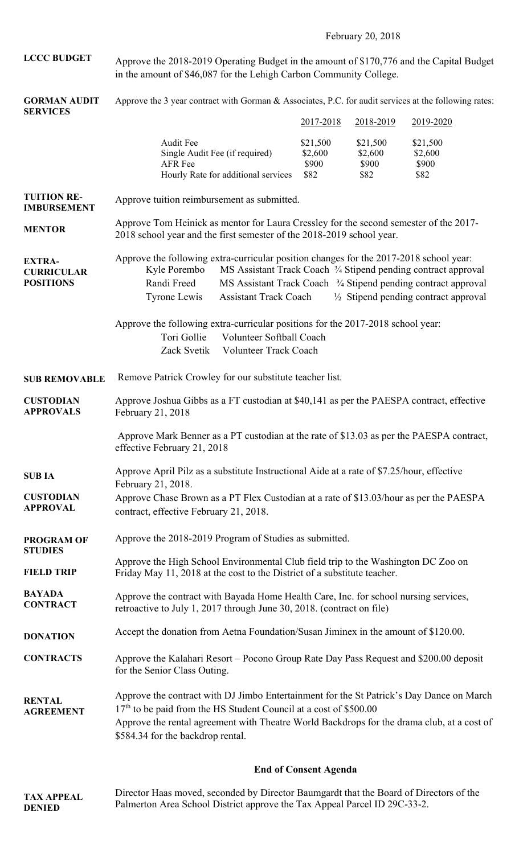February 20, 2018

**LCCC BUDGET**  Approve the 2018-2019 Operating Budget in the amount of \$170,776 and the Capital Budget in the amount of \$46,087 for the Lehigh Carbon Community College.

**GORMAN AUDIT SERVICES**  Approve the 3 year contract with Gorman & Associates, P.C. for audit services at the following rates:

| 9 BIA V TU DIG                                         |                                                                                                                                                                                                                                                                                                                                                                                                  |                                                                       | 2017-2018                            | 2018-2019                            | 2019-2020                            |  |  |
|--------------------------------------------------------|--------------------------------------------------------------------------------------------------------------------------------------------------------------------------------------------------------------------------------------------------------------------------------------------------------------------------------------------------------------------------------------------------|-----------------------------------------------------------------------|--------------------------------------|--------------------------------------|--------------------------------------|--|--|
|                                                        | Audit Fee<br>AFR Fee                                                                                                                                                                                                                                                                                                                                                                             | Single Audit Fee (if required)<br>Hourly Rate for additional services | \$21,500<br>\$2,600<br>\$900<br>\$82 | \$21,500<br>\$2,600<br>\$900<br>\$82 | \$21,500<br>\$2,600<br>\$900<br>\$82 |  |  |
| <b>TUITION RE-</b><br><b>IMBURSEMENT</b>               | Approve tuition reimbursement as submitted.                                                                                                                                                                                                                                                                                                                                                      |                                                                       |                                      |                                      |                                      |  |  |
| <b>MENTOR</b>                                          | Approve Tom Heinick as mentor for Laura Cressley for the second semester of the 2017-<br>2018 school year and the first semester of the 2018-2019 school year.                                                                                                                                                                                                                                   |                                                                       |                                      |                                      |                                      |  |  |
| <b>EXTRA-</b><br><b>CURRICULAR</b><br><b>POSITIONS</b> | Approve the following extra-curricular position changes for the 2017-2018 school year:<br>Kyle Porembo<br>MS Assistant Track Coach <sup>3</sup> / <sub>4</sub> Stipend pending contract approval<br>Randi Freed<br>MS Assistant Track Coach <sup>3</sup> /4 Stipend pending contract approval<br><b>Assistant Track Coach</b><br>$\frac{1}{2}$ Stipend pending contract approval<br>Tyrone Lewis |                                                                       |                                      |                                      |                                      |  |  |
|                                                        | Approve the following extra-curricular positions for the 2017-2018 school year:<br>Tori Gollie<br>Volunteer Softball Coach<br>Volunteer Track Coach<br>Zack Svetik                                                                                                                                                                                                                               |                                                                       |                                      |                                      |                                      |  |  |
| <b>SUB REMOVABLE</b>                                   | Remove Patrick Crowley for our substitute teacher list.                                                                                                                                                                                                                                                                                                                                          |                                                                       |                                      |                                      |                                      |  |  |
| <b>CUSTODIAN</b><br><b>APPROVALS</b>                   | Approve Joshua Gibbs as a FT custodian at \$40,141 as per the PAESPA contract, effective<br>February 21, 2018                                                                                                                                                                                                                                                                                    |                                                                       |                                      |                                      |                                      |  |  |
|                                                        | Approve Mark Benner as a PT custodian at the rate of \$13.03 as per the PAESPA contract,<br>effective February 21, 2018                                                                                                                                                                                                                                                                          |                                                                       |                                      |                                      |                                      |  |  |
| <b>SUBIA</b>                                           | Approve April Pilz as a substitute Instructional Aide at a rate of \$7.25/hour, effective<br>February 21, 2018.                                                                                                                                                                                                                                                                                  |                                                                       |                                      |                                      |                                      |  |  |
| <b>CUSTODIAN</b><br><b>APPROVAL</b>                    | Approve Chase Brown as a PT Flex Custodian at a rate of \$13.03/hour as per the PAESPA<br>contract, effective February 21, 2018.                                                                                                                                                                                                                                                                 |                                                                       |                                      |                                      |                                      |  |  |
| <b>PROGRAM OF</b><br><b>STUDIES</b>                    | Approve the 2018-2019 Program of Studies as submitted.                                                                                                                                                                                                                                                                                                                                           |                                                                       |                                      |                                      |                                      |  |  |
| <b>FIELD TRIP</b>                                      | Approve the High School Environmental Club field trip to the Washington DC Zoo on<br>Friday May 11, 2018 at the cost to the District of a substitute teacher.                                                                                                                                                                                                                                    |                                                                       |                                      |                                      |                                      |  |  |
| <b>BAYADA</b><br><b>CONTRACT</b>                       | Approve the contract with Bayada Home Health Care, Inc. for school nursing services,<br>retroactive to July 1, 2017 through June 30, 2018. (contract on file)                                                                                                                                                                                                                                    |                                                                       |                                      |                                      |                                      |  |  |
| <b>DONATION</b>                                        | Accept the donation from Aetna Foundation/Susan Jiminex in the amount of \$120.00.                                                                                                                                                                                                                                                                                                               |                                                                       |                                      |                                      |                                      |  |  |
| <b>CONTRACTS</b>                                       | Approve the Kalahari Resort – Pocono Group Rate Day Pass Request and \$200.00 deposit<br>for the Senior Class Outing.                                                                                                                                                                                                                                                                            |                                                                       |                                      |                                      |                                      |  |  |
| <b>RENTAL</b><br><b>AGREEMENT</b>                      | Approve the contract with DJ Jimbo Entertainment for the St Patrick's Day Dance on March<br>$17th$ to be paid from the HS Student Council at a cost of \$500.00<br>Approve the rental agreement with Theatre World Backdrops for the drama club, at a cost of<br>\$584.34 for the backdrop rental.                                                                                               |                                                                       |                                      |                                      |                                      |  |  |
|                                                        |                                                                                                                                                                                                                                                                                                                                                                                                  |                                                                       |                                      |                                      |                                      |  |  |

# **End of Consent Agenda**

**TAX APPEAL DENIED**  Director Haas moved, seconded by Director Baumgardt that the Board of Directors of the Palmerton Area School District approve the Tax Appeal Parcel ID 29C-33-2.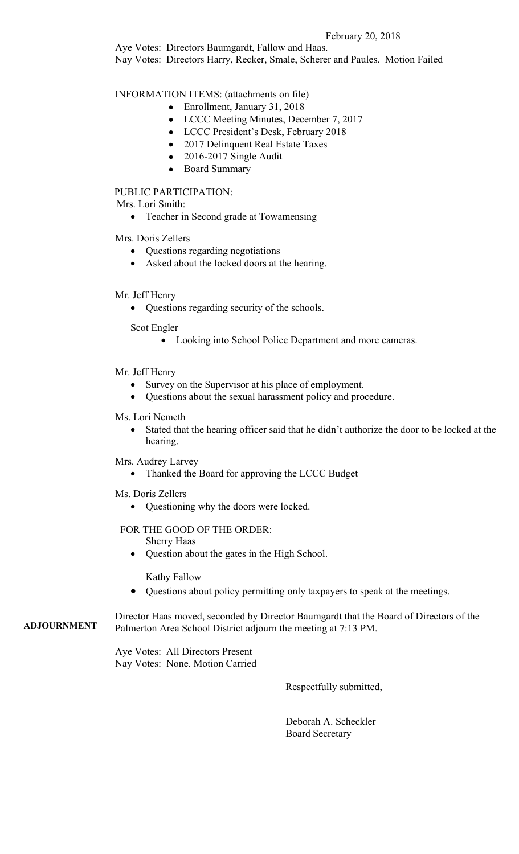## February 20, 2018

Aye Votes: Directors Baumgardt, Fallow and Haas. Nay Votes: Directors Harry, Recker, Smale, Scherer and Paules. Motion Failed

INFORMATION ITEMS: (attachments on file)

- Enrollment, January 31, 2018
- LCCC Meeting Minutes, December 7, 2017
- LCCC President's Desk, February 2018
- 2017 Delinquent Real Estate Taxes
- 2016-2017 Single Audit
- Board Summary

## PUBLIC PARTICIPATION:

Mrs. Lori Smith:

Teacher in Second grade at Towamensing

Mrs. Doris Zellers

- Questions regarding negotiations
- Asked about the locked doors at the hearing.

## Mr. Jeff Henry

Questions regarding security of the schools.

Scot Engler

Looking into School Police Department and more cameras.

## Mr. Jeff Henry

- Survey on the Supervisor at his place of employment.
- Questions about the sexual harassment policy and procedure.

## Ms. Lori Nemeth

- Stated that the hearing officer said that he didn't authorize the door to be locked at the hearing.
- Mrs. Audrey Larvey
	- Thanked the Board for approving the LCCC Budget
- Ms. Doris Zellers
	- Questioning why the doors were locked.

# FOR THE GOOD OF THE ORDER:

Sherry Haas

Question about the gates in the High School.

Kathy Fallow

Questions about policy permitting only taxpayers to speak at the meetings.

**ADJOURNMENT**  Director Haas moved, seconded by Director Baumgardt that the Board of Directors of the Palmerton Area School District adjourn the meeting at 7:13 PM.

> Aye Votes: All Directors Present Nay Votes: None. Motion Carried

> > Respectfully submitted,

 Deborah A. Scheckler Board Secretary